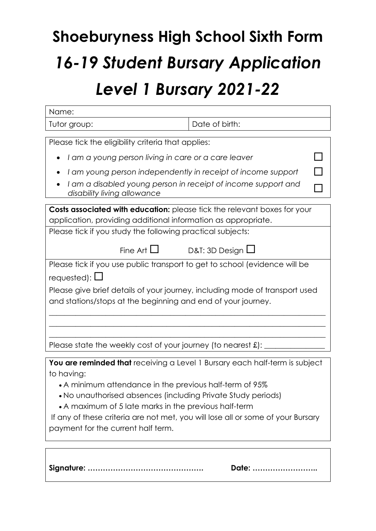## **Shoeburyness High School Sixth Form** *16-19 Student Bursary Application Level 1 Bursary 2021-22*

| Name:                                                                                        |                       |  |  |  |
|----------------------------------------------------------------------------------------------|-----------------------|--|--|--|
| Tutor group:                                                                                 | Date of birth:        |  |  |  |
|                                                                                              |                       |  |  |  |
| Please tick the eligibility criteria that applies:                                           |                       |  |  |  |
| I am a young person living in care or a care leaver<br>$\bullet$                             |                       |  |  |  |
| I am young person independently in receipt of income support                                 |                       |  |  |  |
| I am a disabled young person in receipt of income support and<br>disability living allowance |                       |  |  |  |
| Costs associated with education: please tick the relevant boxes for your                     |                       |  |  |  |
| application, providing additional information as appropriate.                                |                       |  |  |  |
| Please tick if you study the following practical subjects:                                   |                       |  |  |  |
|                                                                                              |                       |  |  |  |
| Fine Art $\square$                                                                           | D&T: 3D Design $\Box$ |  |  |  |
| Please tick if you use public transport to get to school (evidence will be                   |                       |  |  |  |
| requested): $\square$                                                                        |                       |  |  |  |
| Please give brief details of your journey, including mode of transport used                  |                       |  |  |  |
| and stations/stops at the beginning and end of your journey.                                 |                       |  |  |  |
|                                                                                              |                       |  |  |  |
|                                                                                              |                       |  |  |  |
|                                                                                              |                       |  |  |  |
| Please state the weekly cost of your journey (to nearest $\pounds$ ):                        |                       |  |  |  |
| You are reminded that receiving a Level 1 Bursary each half-term is subject                  |                       |  |  |  |
| to having:                                                                                   |                       |  |  |  |
| • A minimum attendance in the previous half-term of 95%                                      |                       |  |  |  |
| . No unauthorised absences (including Private Study periods)                                 |                       |  |  |  |
| • A maximum of 5 late marks in the previous half-term                                        |                       |  |  |  |
| If any of these criteria are not met, you will lose all or some of your Bursary              |                       |  |  |  |

payment for the current half term.

**Signature: ………………………………………. Date: ……………………..**